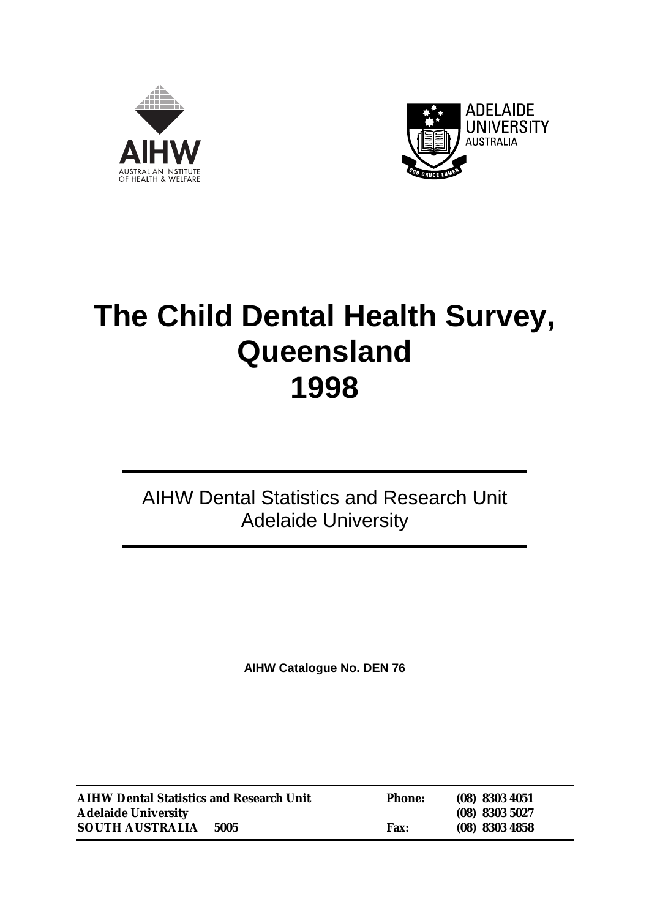



# **The Child Dental Health Survey, Queensland 1998**

### AIHW Dental Statistics and Research Unit Adelaide University

**AIHW Catalogue No. DEN 76**

| <b>AIHW Dental Statistics and Research Unit</b> |      | <b>Phone:</b> | $(08)$ 8303 4051 |
|-------------------------------------------------|------|---------------|------------------|
| <b>Adelaide University</b>                      |      |               | $(08)$ 8303 5027 |
| <b>SOUTH AUSTRALIA</b>                          | 5005 | <b>Fax:</b>   | $(08)$ 8303 4858 |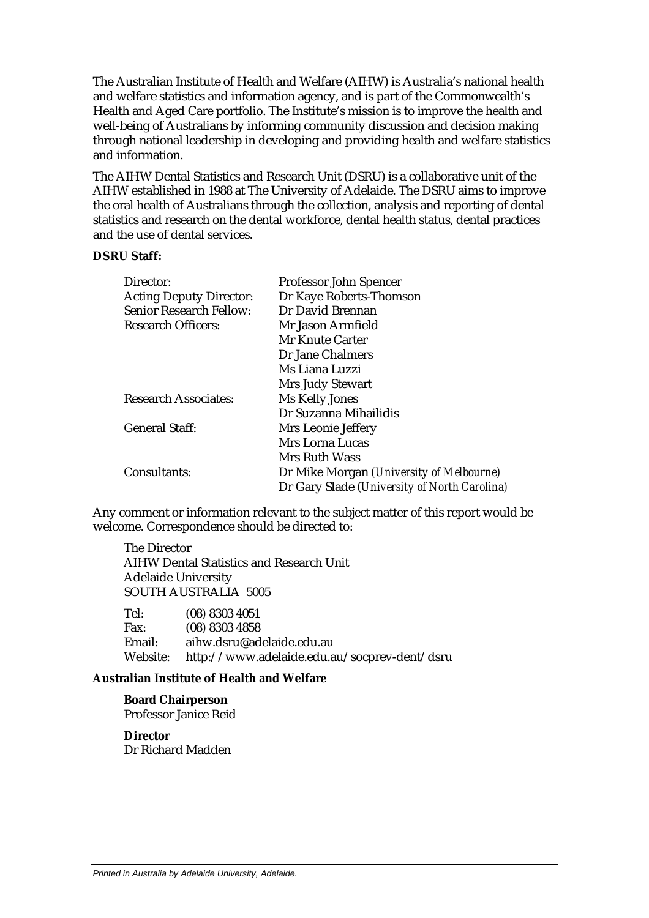The Australian Institute of Health and Welfare (AIHW) is Australia's national health and welfare statistics and information agency, and is part of the Commonwealth's Health and Aged Care portfolio. The Institute's mission is to improve the health and well-being of Australians by informing community discussion and decision making through national leadership in developing and providing health and welfare statistics and information.

The AIHW Dental Statistics and Research Unit (DSRU) is a collaborative unit of the AIHW established in 1988 at The University of Adelaide. The DSRU aims to improve the oral health of Australians through the collection, analysis and reporting of dental statistics and research on the dental workforce, dental health status, dental practices and the use of dental services.

#### **DSRU Staff:**

| Director:                      | Professor John Spencer                       |
|--------------------------------|----------------------------------------------|
| <b>Acting Deputy Director:</b> | Dr Kaye Roberts-Thomson                      |
| <b>Senior Research Fellow:</b> | Dr David Brennan                             |
| <b>Research Officers:</b>      | Mr Jason Armfield                            |
|                                | Mr Knute Carter                              |
|                                | Dr Jane Chalmers                             |
|                                | Ms Liana Luzzi                               |
|                                | Mrs Judy Stewart                             |
| <b>Research Associates:</b>    | Ms Kelly Jones                               |
|                                | Dr Suzanna Mihailidis                        |
| <b>General Staff:</b>          | Mrs Leonie Jeffery                           |
|                                | <b>Mrs Lorna Lucas</b>                       |
|                                | Mrs Ruth Wass                                |
| Consultants:                   | Dr Mike Morgan (University of Melbourne)     |
|                                | Dr Gary Slade (University of North Carolina) |

Any comment or information relevant to the subject matter of this report would be welcome. Correspondence should be directed to:

The Director AIHW Dental Statistics and Research Unit Adelaide University SOUTH AUSTRALIA 5005

| Tel:        | $(08)$ 8303 4051                             |
|-------------|----------------------------------------------|
| <b>Fax:</b> | $(08)$ 8303 4858                             |
| Email:      | aihw.dsru@adelaide.edu.au                    |
| Website:    | http://www.adelaide.edu.au/socprev-dent/dsru |

#### **Australian Institute of Health and Welfare**

**Board Chairperson** Professor Janice Reid

**Director** Dr Richard Madden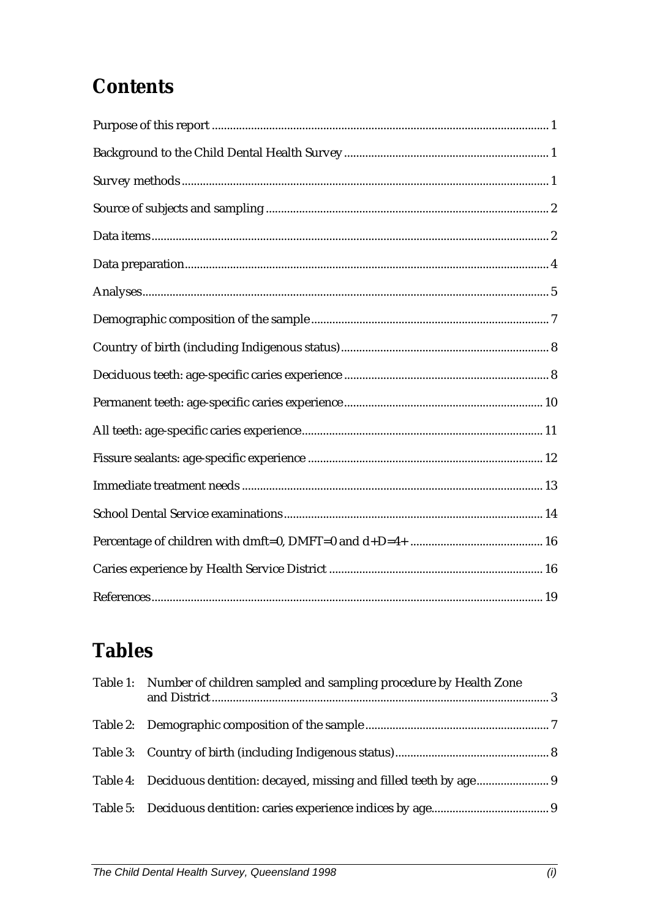## **Contents**

## **Tables**

| Table 1: Number of children sampled and sampling procedure by Health Zone |  |
|---------------------------------------------------------------------------|--|
|                                                                           |  |
|                                                                           |  |
| Table 4: Deciduous dentition: decayed, missing and filled teeth by age 9  |  |
|                                                                           |  |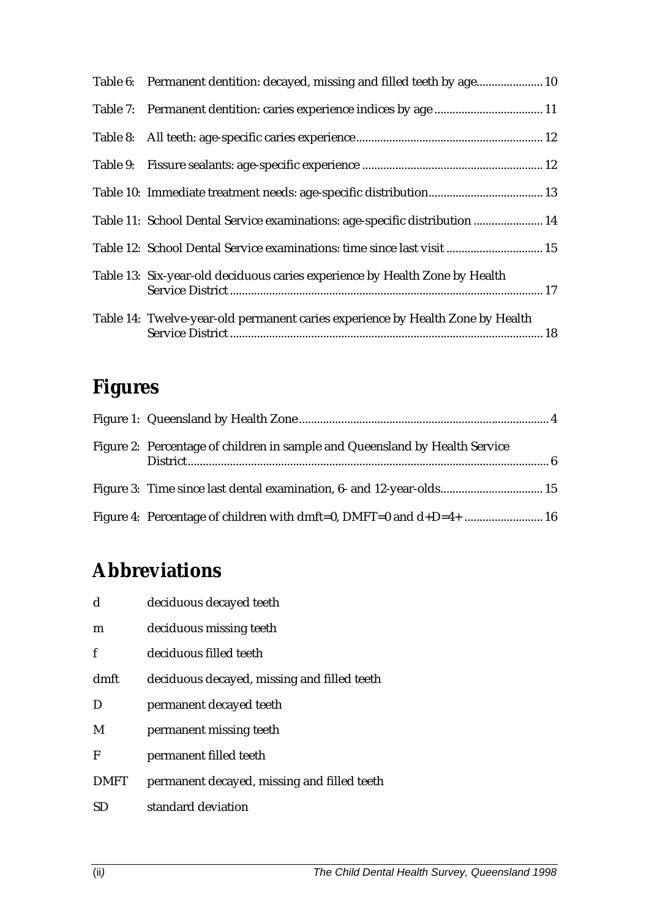| Table 6: Permanent dentition: decayed, missing and filled teeth by age 10      |  |
|--------------------------------------------------------------------------------|--|
|                                                                                |  |
|                                                                                |  |
|                                                                                |  |
|                                                                                |  |
| Table 11: School Dental Service examinations: age-specific distribution  14    |  |
| Table 12: School Dental Service examinations: time since last visit  15        |  |
| Table 13: Six-year-old deciduous caries experience by Health Zone by Health    |  |
| Table 14: Twelve-year-old permanent caries experience by Health Zone by Health |  |

## **Figures**

| Figure 2: Percentage of children in sample and Queensland by Health Service |  |
|-----------------------------------------------------------------------------|--|
| Figure 3: Time since last dental examination, 6- and 12-year-olds 15        |  |
| Figure 4: Percentage of children with dmft=0, DMFT=0 and d+D=4+  16         |  |

## **Abbreviations**

| $\mathbf d$ | deciduous decayed teeth                     |
|-------------|---------------------------------------------|
| m           | deciduous missing teeth                     |
| f           | deciduous filled teeth                      |
| dmft        | deciduous decayed, missing and filled teeth |
| D           | permanent decayed teeth                     |
| M           | permanent missing teeth                     |
| F           | permanent filled teeth                      |
| <b>DMFT</b> | permanent decayed, missing and filled teeth |
| SD          | standard deviation                          |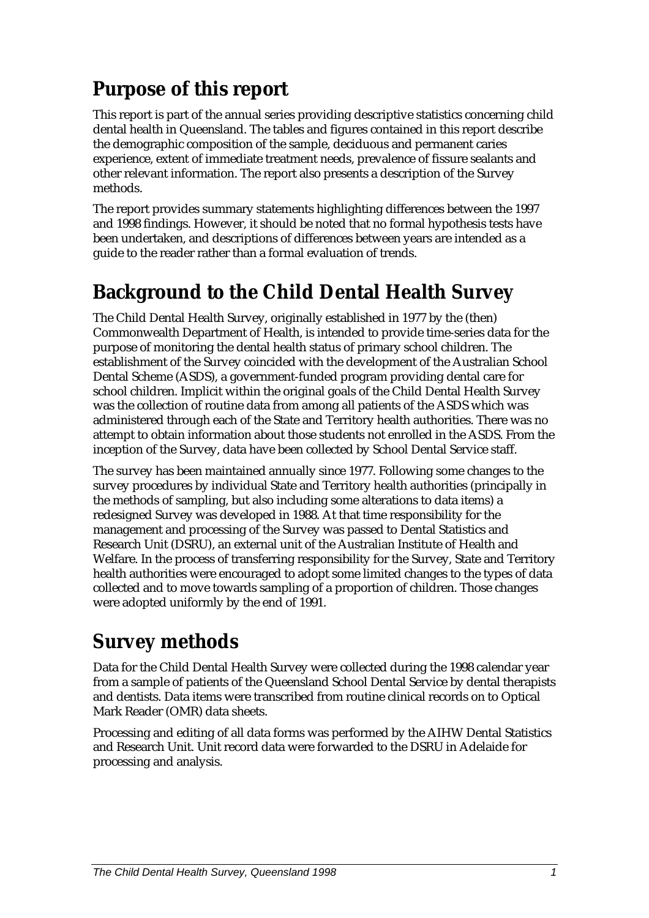## **Purpose of this report**

This report is part of the annual series providing descriptive statistics concerning child dental health in Queensland. The tables and figures contained in this report describe the demographic composition of the sample, deciduous and permanent caries experience, extent of immediate treatment needs, prevalence of fissure sealants and other relevant information. The report also presents a description of the Survey methods.

The report provides summary statements highlighting differences between the 1997 and 1998 findings. However, it should be noted that no formal hypothesis tests have been undertaken, and descriptions of differences between years are intended as a guide to the reader rather than a formal evaluation of trends.

## **Background to the Child Dental Health Survey**

The Child Dental Health Survey, originally established in 1977 by the (then) Commonwealth Department of Health, is intended to provide time-series data for the purpose of monitoring the dental health status of primary school children. The establishment of the Survey coincided with the development of the Australian School Dental Scheme (ASDS), a government-funded program providing dental care for school children. Implicit within the original goals of the Child Dental Health Survey was the collection of routine data from among all patients of the ASDS which was administered through each of the State and Territory health authorities. There was no attempt to obtain information about those students not enrolled in the ASDS. From the inception of the Survey, data have been collected by School Dental Service staff.

The survey has been maintained annually since 1977. Following some changes to the survey procedures by individual State and Territory health authorities (principally in the methods of sampling, but also including some alterations to data items) a redesigned Survey was developed in 1988. At that time responsibility for the management and processing of the Survey was passed to Dental Statistics and Research Unit (DSRU), an external unit of the Australian Institute of Health and Welfare. In the process of transferring responsibility for the Survey, State and Territory health authorities were encouraged to adopt some limited changes to the types of data collected and to move towards sampling of a proportion of children. Those changes were adopted uniformly by the end of 1991.

## **Survey methods**

Data for the Child Dental Health Survey were collected during the 1998 calendar year from a sample of patients of the Queensland School Dental Service by dental therapists and dentists. Data items were transcribed from routine clinical records on to Optical Mark Reader (OMR) data sheets.

Processing and editing of all data forms was performed by the AIHW Dental Statistics and Research Unit. Unit record data were forwarded to the DSRU in Adelaide for processing and analysis.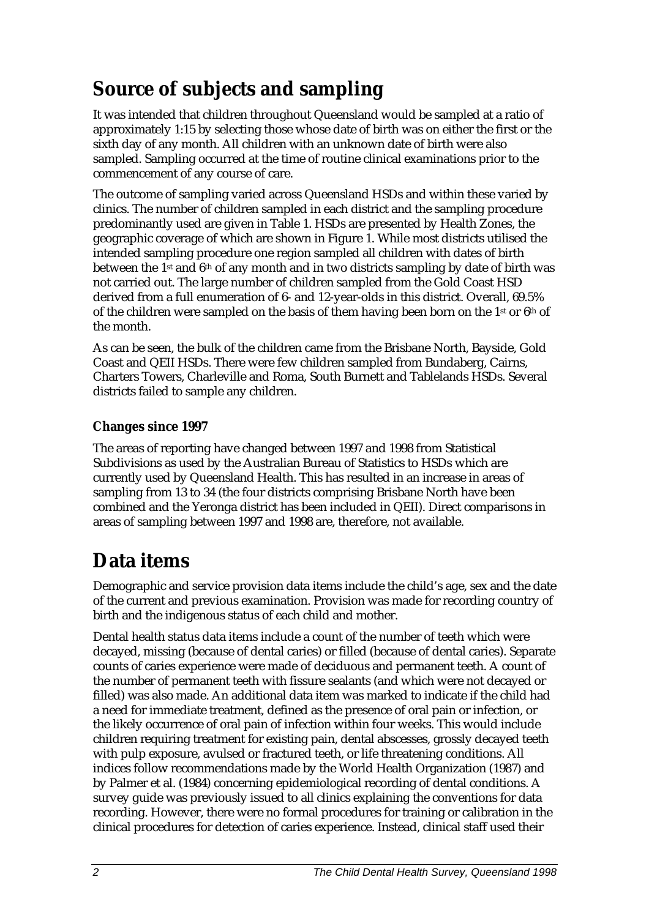## **Source of subjects and sampling**

It was intended that children throughout Queensland would be sampled at a ratio of approximately 1:15 by selecting those whose date of birth was on either the first or the sixth day of any month. All children with an unknown date of birth were also sampled. Sampling occurred at the time of routine clinical examinations prior to the commencement of any course of care.

The outcome of sampling varied across Queensland HSDs and within these varied by clinics. The number of children sampled in each district and the sampling procedure predominantly used are given in Table 1. HSDs are presented by Health Zones, the geographic coverage of which are shown in Figure 1. While most districts utilised the intended sampling procedure one region sampled all children with dates of birth between the 1st and 6th of any month and in two districts sampling by date of birth was not carried out. The large number of children sampled from the Gold Coast HSD derived from a full enumeration of 6- and 12-year-olds in this district. Overall, 69.5% of the children were sampled on the basis of them having been born on the  $1<sup>st</sup>$  or  $6<sup>th</sup>$  of the month.

As can be seen, the bulk of the children came from the Brisbane North, Bayside, Gold Coast and QEII HSDs. There were few children sampled from Bundaberg, Cairns, Charters Towers, Charleville and Roma, South Burnett and Tablelands HSDs. Several districts failed to sample any children.

### **Changes since 1997**

The areas of reporting have changed between 1997 and 1998 from Statistical Subdivisions as used by the Australian Bureau of Statistics to HSDs which are currently used by Queensland Health. This has resulted in an increase in areas of sampling from 13 to 34 (the four districts comprising Brisbane North have been combined and the Yeronga district has been included in QEII). Direct comparisons in areas of sampling between 1997 and 1998 are, therefore, not available.

## **Data items**

Demographic and service provision data items include the child's age, sex and the date of the current and previous examination. Provision was made for recording country of birth and the indigenous status of each child and mother.

Dental health status data items include a count of the number of teeth which were decayed, missing (because of dental caries) or filled (because of dental caries). Separate counts of caries experience were made of deciduous and permanent teeth. A count of the number of permanent teeth with fissure sealants (and which were not decayed or filled) was also made. An additional data item was marked to indicate if the child had a need for immediate treatment, defined as the presence of oral pain or infection, or the likely occurrence of oral pain of infection within four weeks. This would include children requiring treatment for existing pain, dental abscesses, grossly decayed teeth with pulp exposure, avulsed or fractured teeth, or life threatening conditions. All indices follow recommendations made by the World Health Organization (1987) and by Palmer et al. (1984) concerning epidemiological recording of dental conditions. A survey guide was previously issued to all clinics explaining the conventions for data recording. However, there were no formal procedures for training or calibration in the clinical procedures for detection of caries experience. Instead, clinical staff used their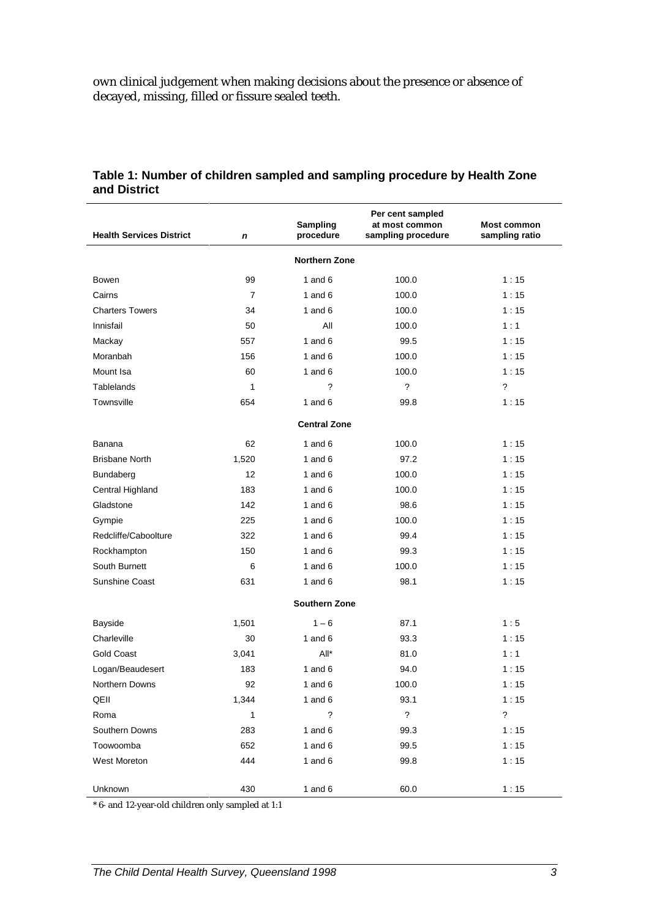own clinical judgement when making decisions about the presence or absence of decayed, missing, filled or fissure sealed teeth.

|                                 |                   | <b>Sampling</b>          | Per cent sampled<br>at most common | <b>Most common</b>       |  |  |  |  |
|---------------------------------|-------------------|--------------------------|------------------------------------|--------------------------|--|--|--|--|
| <b>Health Services District</b> | $\mathbf n$       | procedure                | sampling procedure                 | sampling ratio           |  |  |  |  |
| <b>Northern Zone</b>            |                   |                          |                                    |                          |  |  |  |  |
| Bowen                           | 99                | 1 and $6$                | 100.0                              | 1:15                     |  |  |  |  |
| Cairns                          | 7                 | 1 and $6$                | 100.0                              | 1:15                     |  |  |  |  |
| <b>Charters Towers</b>          | 34                | 1 and $6$                | 100.0                              | 1:15                     |  |  |  |  |
| Innisfail                       | 50                | Αll                      | 100.0                              | 1:1                      |  |  |  |  |
| Mackay                          | 557               | 1 and $6$                | 99.5                               | 1:15                     |  |  |  |  |
| Moranbah                        | 156               | 1 and $6$                | 100.0                              | 1:15                     |  |  |  |  |
| Mount Isa                       | 60                | 1 and $6$                | 100.0                              | 1:15                     |  |  |  |  |
| Tablelands                      | $\mathbf{1}$      | $\overline{\phantom{0}}$ | $\overline{\phantom{a}}$           | $\overline{\phantom{0}}$ |  |  |  |  |
| Townsville                      | 654               | 1 and $6$                | 99.8                               | 1:15                     |  |  |  |  |
|                                 |                   | <b>Central Zone</b>      |                                    |                          |  |  |  |  |
| Banana                          | 62                | 1 and $6$                | 100.0                              | 1:15                     |  |  |  |  |
| <b>Brisbane North</b>           | 1,520             | 1 and $6$                | 97.2                               | 1:15                     |  |  |  |  |
| Bundaberg                       | $12 \overline{ }$ | 1 and $6$                | 100.0                              | 1:15                     |  |  |  |  |
| Central Highland                | 183               | 1 and $6$                | 100.0                              | 1:15                     |  |  |  |  |
| Gladstone                       | 142               | 1 and $6$                | 98.6                               | 1:15                     |  |  |  |  |
| Gympie                          | 225               | 1 and $6$                | 100.0                              | 1:15                     |  |  |  |  |
| Redcliffe/Caboolture            | 322               | 1 and $6$                | 99.4                               | 1:15                     |  |  |  |  |
| Rockhampton                     | 150               | 1 and $6$                | 99.3                               | 1:15                     |  |  |  |  |
| South Burnett                   | 6                 | 1 and $6$                | 100.0                              | 1:15                     |  |  |  |  |
| Sunshine Coast                  | 631               | 1 and $6$<br>98.1        |                                    | 1:15                     |  |  |  |  |
|                                 |                   | <b>Southern Zone</b>     |                                    |                          |  |  |  |  |
| <b>Bayside</b>                  | 1,501             | $1 - 6$                  | 87.1                               | 1:5                      |  |  |  |  |
| Charleville                     | 30                | 1 and $6$                | 93.3                               | 1:15                     |  |  |  |  |
| Gold Coast                      | 3,041             | $All^*$                  | 81.0                               | 1:1                      |  |  |  |  |
| Logan/Beaudesert                | 183               | 1 and $6$                | 94.0                               | 1:15                     |  |  |  |  |
| Northern Downs                  | 92                | 1 and $6$                | 100.0                              | 1:15                     |  |  |  |  |
| QEII                            | 1,344             | 1 and $6$                | 93.1                               | 1:15                     |  |  |  |  |
| Roma                            | 1                 | $\overline{\phantom{0}}$ | $\tilde{?}$                        | $\ddot{?}$               |  |  |  |  |
| Southern Downs                  | 283               | 1 and $6$                | 99.3                               | 1:15                     |  |  |  |  |
| Toowoomba                       | 652               | 1 and $6$                | 99.5                               | 1:15                     |  |  |  |  |
| West Moreton                    | 444               | 1 and $6$                | 99.8                               | 1:15                     |  |  |  |  |
| Unknown                         | 430               | 1 and $6$                | 60.0                               | 1:15                     |  |  |  |  |

#### **Table 1: Number of children sampled and sampling procedure by Health Zone and District**

\* 6- and 12-year-old children only sampled at 1:1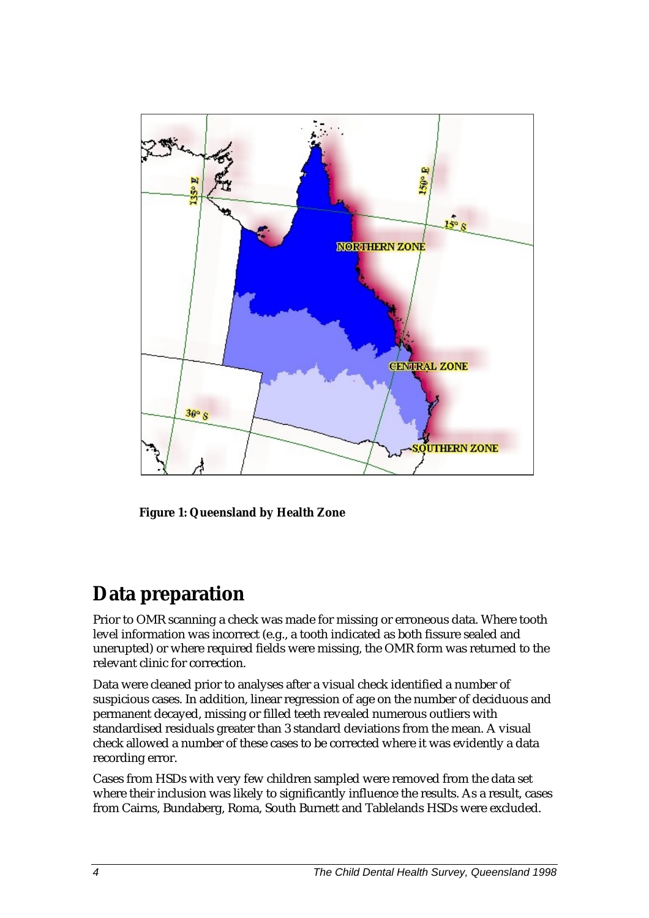

**Figure 1: Queensland by Health Zone**

### **Data preparation**

Prior to OMR scanning a check was made for missing or erroneous data. Where tooth level information was incorrect (e.g., a tooth indicated as both fissure sealed and unerupted) or where required fields were missing, the OMR form was returned to the relevant clinic for correction.

Data were cleaned prior to analyses after a visual check identified a number of suspicious cases. In addition, linear regression of age on the number of deciduous and permanent decayed, missing or filled teeth revealed numerous outliers with standardised residuals greater than 3 standard deviations from the mean. A visual check allowed a number of these cases to be corrected where it was evidently a data recording error.

Cases from HSDs with very few children sampled were removed from the data set where their inclusion was likely to significantly influence the results. As a result, cases from Cairns, Bundaberg, Roma, South Burnett and Tablelands HSDs were excluded.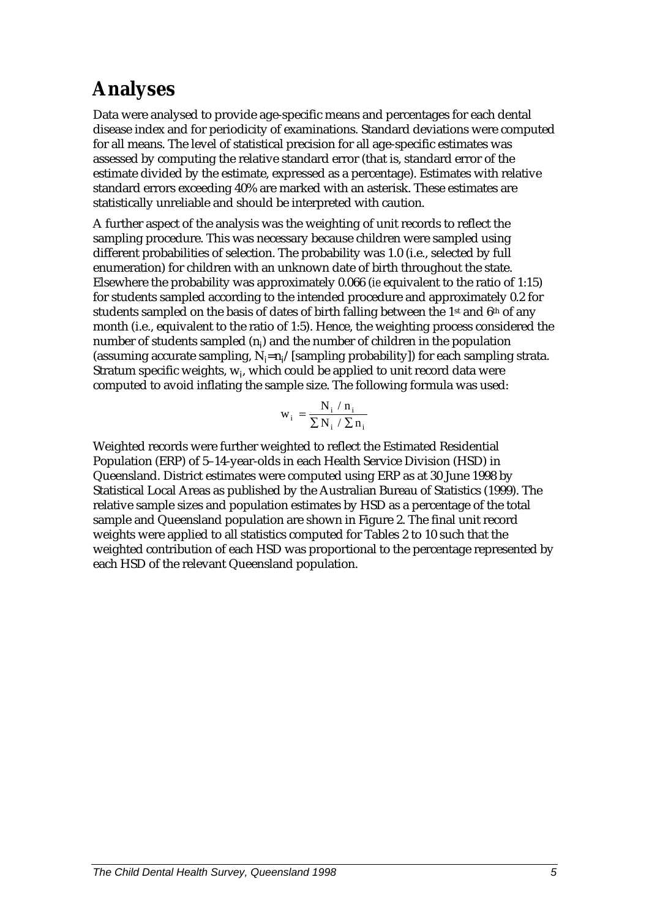## **Analyses**

Data were analysed to provide age-specific means and percentages for each dental disease index and for periodicity of examinations. Standard deviations were computed for all means. The level of statistical precision for all age-specific estimates was assessed by computing the relative standard error (that is, standard error of the estimate divided by the estimate, expressed as a percentage). Estimates with relative standard errors exceeding 40% are marked with an asterisk. These estimates are statistically unreliable and should be interpreted with caution.

A further aspect of the analysis was the weighting of unit records to reflect the sampling procedure. This was necessary because children were sampled using different probabilities of selection. The probability was 1.0 (i.e., selected by full enumeration) for children with an unknown date of birth throughout the state. Elsewhere the probability was approximately 0.066 (*ie* equivalent to the ratio of 1:15) for students sampled according to the intended procedure and approximately 0.2 for students sampled on the basis of dates of birth falling between the 1<sup>st</sup> and 6<sup>th</sup> of any month (i.e., equivalent to the ratio of 1:5). Hence, the weighting process considered the number of students sampled (n<sub>i</sub>) and the number of children in the population (assuming accurate sampling,  $N_i=n_i/[sampling]$  probability]) for each sampling strata. Stratum specific weights, w<sub>i</sub>, which could be applied to unit record data were computed to avoid inflating the sample size. The following formula was used:

$$
w_i = \frac{N_i / n_i}{\sum N_i / \sum n_i}
$$

Weighted records were further weighted to reflect the Estimated Residential Population (ERP) of 5–14-year-olds in each Health Service Division (HSD) in Queensland. District estimates were computed using ERP as at 30 June 1998 by Statistical Local Areas as published by the Australian Bureau of Statistics (1999). The relative sample sizes and population estimates by HSD as a percentage of the total sample and Queensland population are shown in Figure 2. The final unit record weights were applied to all statistics computed for Tables 2 to 10 such that the weighted contribution of each HSD was proportional to the percentage represented by each HSD of the relevant Queensland population.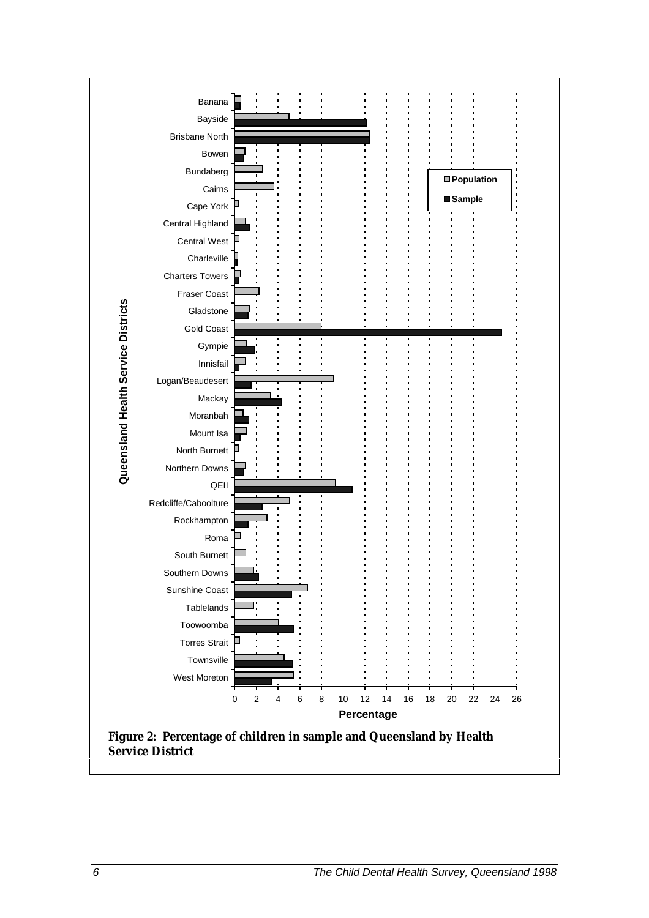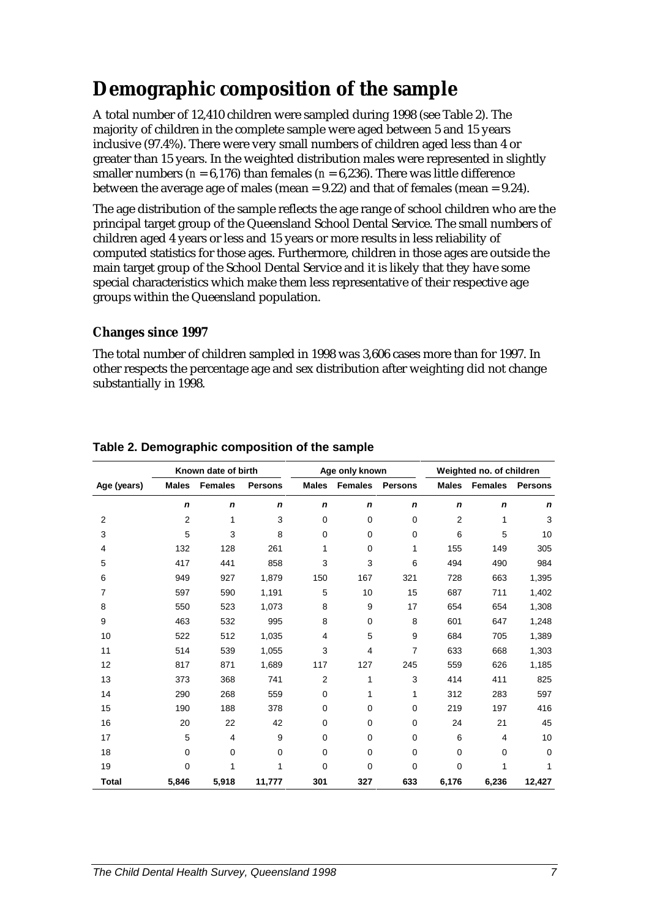### **Demographic composition of the sample**

A total number of 12,410 children were sampled during 1998 (see Table 2). The majority of children in the complete sample were aged between 5 and 15 years inclusive (97.4%). There were very small numbers of children aged less than 4 or greater than 15 years. In the weighted distribution males were represented in slightly smaller numbers ( $n = 6,176$ ) than females ( $n = 6,236$ ). There was little difference between the average age of males (mean =  $9.22$ ) and that of females (mean =  $9.24$ ).

The age distribution of the sample reflects the age range of school children who are the principal target group of the Queensland School Dental Service. The small numbers of children aged 4 years or less and 15 years or more results in less reliability of computed statistics for those ages. Furthermore, children in those ages are outside the main target group of the School Dental Service and it is likely that they have some special characteristics which make them less representative of their respective age groups within the Queensland population.

### **Changes since 1997**

The total number of children sampled in 1998 was 3,606 cases more than for 1997. In other respects the percentage age and sex distribution after weighting did not change substantially in 1998.

|              | Known date of birth |                |                |                  | Age only known |                |                | Weighted no. of children |                |  |
|--------------|---------------------|----------------|----------------|------------------|----------------|----------------|----------------|--------------------------|----------------|--|
| Age (years)  | <b>Males</b>        | <b>Females</b> | <b>Persons</b> | <b>Males</b>     | <b>Females</b> | <b>Persons</b> | <b>Males</b>   | <b>Females</b>           | <b>Persons</b> |  |
|              | $\boldsymbol{n}$    | n              | n              | $\boldsymbol{n}$ | $\mathbf n$    | n              | $\mathbf n$    | $\mathbf n$              | n              |  |
| 2            | 2                   | 1              | 3              | 0                | 0              | $\mathbf 0$    | $\overline{2}$ | 1                        | 3              |  |
| 3            | 5                   | 3              | 8              | 0                | $\Omega$       | $\mathbf 0$    | 6              | 5                        | 10             |  |
| 4            | 132                 | 128            | 261            | 1                | $\mathbf 0$    | 1              | 155            | 149                      | 305            |  |
| 5            | 417                 | 441            | 858            | 3                | 3              | 6              | 494            | 490                      | 984            |  |
| 6            | 949                 | 927            | 1,879          | 150              | 167            | 321            | 728            | 663                      | 1,395          |  |
| 7            | 597                 | 590            | 1,191          | 5                | 10             | 15             | 687            | 711                      | 1,402          |  |
| 8            | 550                 | 523            | 1,073          | 8                | 9              | 17             | 654            | 654                      | 1,308          |  |
| 9            | 463                 | 532            | 995            | 8                | $\mathbf 0$    | 8              | 601            | 647                      | 1,248          |  |
| 10           | 522                 | 512            | 1,035          | 4                | 5              | 9              | 684            | 705                      | 1,389          |  |
| 11           | 514                 | 539            | 1,055          | 3                | 4              | 7              | 633            | 668                      | 1,303          |  |
| 12           | 817                 | 871            | 1,689          | 117              | 127            | 245            | 559            | 626                      | 1,185          |  |
| 13           | 373                 | 368            | 741            | $\overline{2}$   | 1              | 3              | 414            | 411                      | 825            |  |
| 14           | 290                 | 268            | 559            | $\mathbf 0$      | 1              | 1              | 312            | 283                      | 597            |  |
| 15           | 190                 | 188            | 378            | 0                | $\mathbf 0$    | $\mathbf 0$    | 219            | 197                      | 416            |  |
| 16           | 20                  | 22             | 42             | 0                | 0              | $\mathbf 0$    | 24             | 21                       | 45             |  |
| 17           | 5                   | 4              | 9              | 0                | $\Omega$       | $\mathbf 0$    | 6              | $\overline{4}$           | 10             |  |
| 18           | $\Omega$            | 0              | 0              | 0                | $\Omega$       | $\mathbf 0$    | $\Omega$       | $\Omega$                 | 0              |  |
| 19           | 0                   | 1              | 1              | 0                | $\mathbf 0$    | 0              | $\mathbf 0$    | 1                        | 1              |  |
| <b>Total</b> | 5,846               | 5,918          | 11,777         | 301              | 327            | 633            | 6,176          | 6,236                    | 12,427         |  |

### **Table 2. Demographic composition of the sample**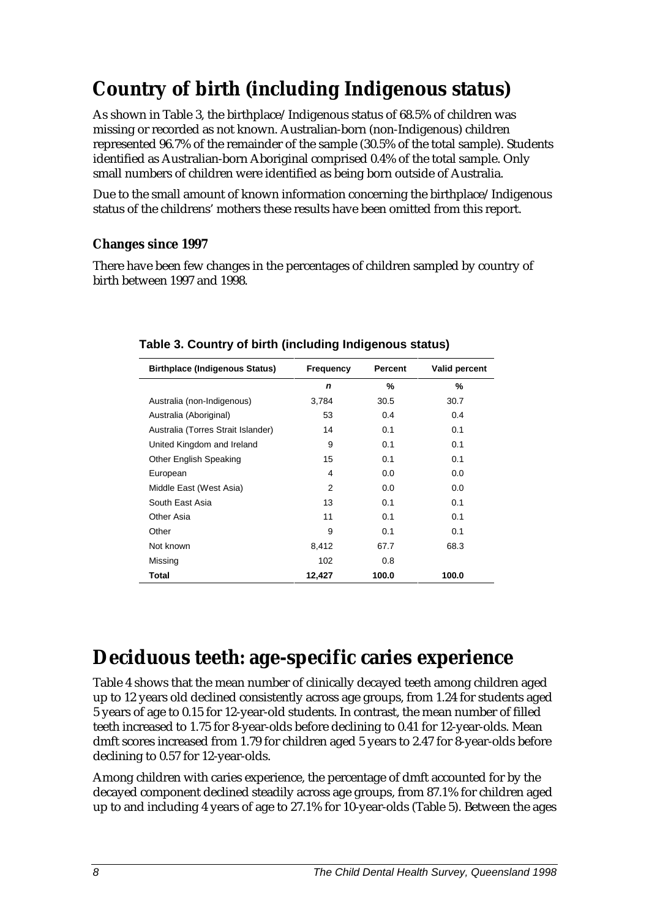## **Country of birth (including Indigenous status)**

As shown in Table 3, the birthplace/Indigenous status of 68.5% of children was missing or recorded as not known. Australian-born (non-Indigenous) children represented 96.7% of the remainder of the sample (30.5% of the total sample). Students identified as Australian-born Aboriginal comprised 0.4% of the total sample. Only small numbers of children were identified as being born outside of Australia.

Due to the small amount of known information concerning the birthplace/Indigenous status of the childrens' mothers these results have been omitted from this report.

### **Changes since 1997**

There have been few changes in the percentages of children sampled by country of birth between 1997 and 1998.

| <b>Birthplace (Indigenous Status)</b> | <b>Frequency</b> | Percent | <b>Valid percent</b> |
|---------------------------------------|------------------|---------|----------------------|
|                                       | n                | %       | %                    |
| Australia (non-Indigenous)            | 3,784            | 30.5    | 30.7                 |
| Australia (Aboriginal)                | 53               | 0.4     | 0.4                  |
| Australia (Torres Strait Islander)    | 14               | 0.1     | 0.1                  |
| United Kingdom and Ireland            | 9                | 0.1     | 0.1                  |
| Other English Speaking                | 15               | 0.1     | 0.1                  |
| European                              | 4                | 0.0     | 0.0                  |
| Middle East (West Asia)               | 2                | 0.0     | 0.0                  |
| South East Asia                       | 13               | 0.1     | 0.1                  |
| Other Asia                            | 11               | 0.1     | 0.1                  |
| Other                                 | 9                | 0.1     | 0.1                  |
| Not known                             | 8,412            | 67.7    | 68.3                 |
| Missing                               | 102              | 0.8     |                      |
| Total                                 | 12,427           | 100.0   | 100.0                |

### **Table 3. Country of birth (including Indigenous status)**

### **Deciduous teeth: age-specific caries experience**

Table 4 shows that the mean number of clinically decayed teeth among children aged up to 12 years old declined consistently across age groups, from 1.24 for students aged 5 years of age to 0.15 for 12-year-old students. In contrast, the mean number of filled teeth increased to 1.75 for 8-year-olds before declining to 0.41 for 12-year-olds. Mean dmft scores increased from 1.79 for children aged 5 years to 2.47 for 8-year-olds before declining to 0.57 for 12-year-olds.

Among children with caries experience, the percentage of dmft accounted for by the decayed component declined steadily across age groups, from 87.1% for children aged up to and including 4 years of age to 27.1% for 10-year-olds (Table 5). Between the ages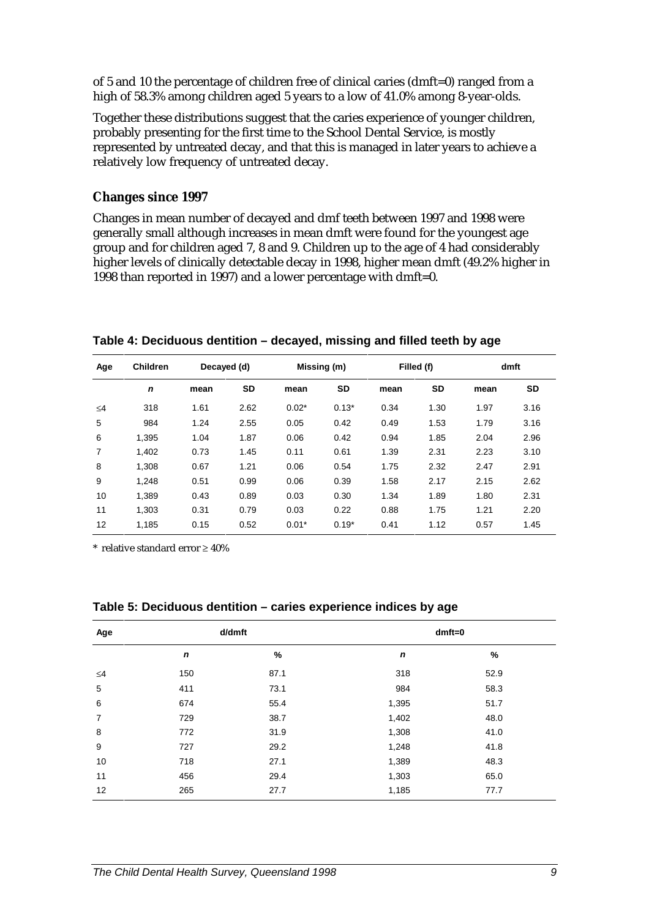of 5 and 10 the percentage of children free of clinical caries (dmft=0) ranged from a high of 58.3% among children aged 5 years to a low of 41.0% among 8-year-olds.

Together these distributions suggest that the caries experience of younger children, probably presenting for the first time to the School Dental Service, is mostly represented by untreated decay, and that this is managed in later years to achieve a relatively low frequency of untreated decay.

#### **Changes since 1997**

Changes in mean number of decayed and dmf teeth between 1997 and 1998 were generally small although increases in mean dmft were found for the youngest age group and for children aged 7, 8 and 9. Children up to the age of 4 had considerably higher levels of clinically detectable decay in 1998, higher mean dmft (49.2% higher in 1998 than reported in 1997) and a lower percentage with dmft=0.

| Age      | <b>Children</b> | Decayed (d) |           | Missing (m) |         |      | Filled (f) |      | dmft |  |
|----------|-----------------|-------------|-----------|-------------|---------|------|------------|------|------|--|
|          | $\mathbf n$     | mean        | <b>SD</b> | mean        | SD      | mean | SD         | mean | SD   |  |
| $\leq 4$ | 318             | 1.61        | 2.62      | $0.02*$     | $0.13*$ | 0.34 | 1.30       | 1.97 | 3.16 |  |
| 5        | 984             | 1.24        | 2.55      | 0.05        | 0.42    | 0.49 | 1.53       | 1.79 | 3.16 |  |
| 6        | 1.395           | 1.04        | 1.87      | 0.06        | 0.42    | 0.94 | 1.85       | 2.04 | 2.96 |  |
| 7        | 1.402           | 0.73        | 1.45      | 0.11        | 0.61    | 1.39 | 2.31       | 2.23 | 3.10 |  |
| 8        | 1.308           | 0.67        | 1.21      | 0.06        | 0.54    | 1.75 | 2.32       | 2.47 | 2.91 |  |
| 9        | 1.248           | 0.51        | 0.99      | 0.06        | 0.39    | 1.58 | 2.17       | 2.15 | 2.62 |  |
| 10       | 1.389           | 0.43        | 0.89      | 0.03        | 0.30    | 1.34 | 1.89       | 1.80 | 2.31 |  |
| 11       | 1.303           | 0.31        | 0.79      | 0.03        | 0.22    | 0.88 | 1.75       | 1.21 | 2.20 |  |
| 12       | 1.185           | 0.15        | 0.52      | $0.01*$     | $0.19*$ | 0.41 | 1.12       | 0.57 | 1.45 |  |

**Table 4: Deciduous dentition – decayed, missing and filled teeth by age**

\* relative standard error ≥ 40%

| Age      | d/dmft |      | $dmft=0$    |      |  |  |
|----------|--------|------|-------------|------|--|--|
|          | n      | %    | $\mathbf n$ | %    |  |  |
| $\leq 4$ | 150    | 87.1 | 318         | 52.9 |  |  |
| 5        | 411    | 73.1 | 984         | 58.3 |  |  |
| 6        | 674    | 55.4 | 1,395       | 51.7 |  |  |
| 7        | 729    | 38.7 | 1,402       | 48.0 |  |  |
| 8        | 772    | 31.9 | 1,308       | 41.0 |  |  |
| 9        | 727    | 29.2 | 1,248       | 41.8 |  |  |
| 10       | 718    | 27.1 | 1,389       | 48.3 |  |  |
| 11       | 456    | 29.4 | 1,303       | 65.0 |  |  |
| 12       | 265    | 27.7 | 1,185       | 77.7 |  |  |

**Table 5: Deciduous dentition – caries experience indices by age**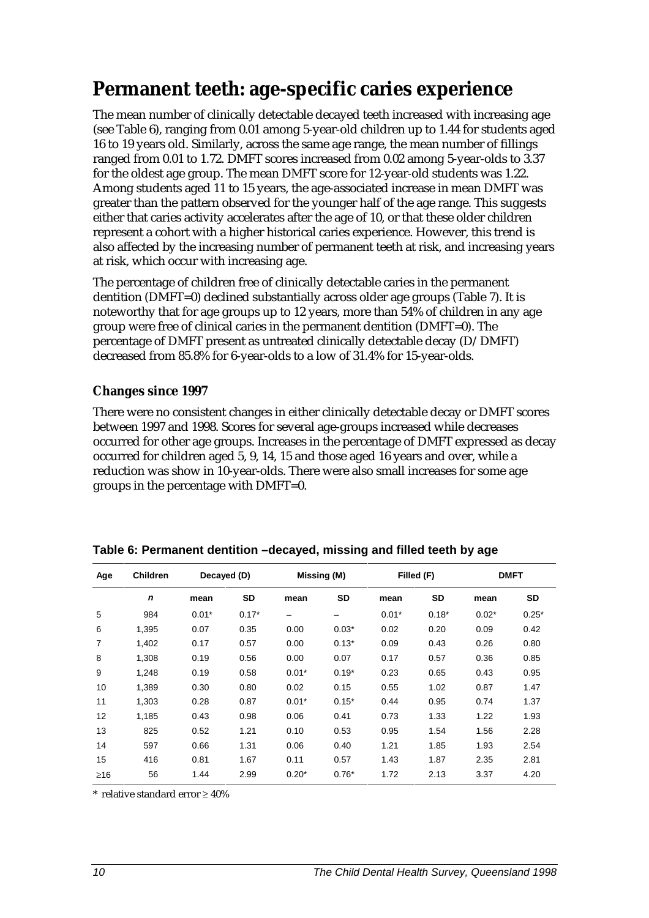### **Permanent teeth: age-specific caries experience**

The mean number of clinically detectable decayed teeth increased with increasing age (see Table 6), ranging from 0.01 among 5-year-old children up to 1.44 for students aged 16 to 19 years old. Similarly, across the same age range, the mean number of fillings ranged from 0.01 to 1.72. DMFT scores increased from 0.02 among 5-year-olds to 3.37 for the oldest age group. The mean DMFT score for 12-year-old students was 1.22. Among students aged 11 to 15 years, the age-associated increase in mean DMFT was greater than the pattern observed for the younger half of the age range. This suggests either that caries activity accelerates after the age of 10, or that these older children represent a cohort with a higher historical caries experience. However, this trend is also affected by the increasing number of permanent teeth at risk, and increasing years at risk, which occur with increasing age.

The percentage of children free of clinically detectable caries in the permanent dentition (DMFT=0) declined substantially across older age groups (Table 7). It is noteworthy that for age groups up to 12 years, more than 54% of children in any age group were free of clinical caries in the permanent dentition (DMFT=0). The percentage of DMFT present as untreated clinically detectable decay (D/DMFT) decreased from 85.8% for 6-year-olds to a low of 31.4% for 15-year-olds.

### **Changes since 1997**

There were no consistent changes in either clinically detectable decay or DMFT scores between 1997 and 1998. Scores for several age-groups increased while decreases occurred for other age groups. Increases in the percentage of DMFT expressed as decay occurred for children aged 5, 9, 14, 15 and those aged 16 years and over, while a reduction was show in 10-year-olds. There were also small increases for some age groups in the percentage with DMFT=0.

| Age            | <b>Children</b> | Decayed (D) |           |         | Missing (M) |         | Filled (F) |         | <b>DMFT</b> |  |
|----------------|-----------------|-------------|-----------|---------|-------------|---------|------------|---------|-------------|--|
|                | $\mathbf n$     | mean        | <b>SD</b> | mean    | SD          | mean    | SD         | mean    | SD          |  |
| 5              | 984             | $0.01*$     | $0.17*$   |         | -           | $0.01*$ | $0.18*$    | $0.02*$ | $0.25*$     |  |
| 6              | 1,395           | 0.07        | 0.35      | 0.00    | $0.03*$     | 0.02    | 0.20       | 0.09    | 0.42        |  |
| $\overline{7}$ | 1,402           | 0.17        | 0.57      | 0.00    | $0.13*$     | 0.09    | 0.43       | 0.26    | 0.80        |  |
| 8              | 1.308           | 0.19        | 0.56      | 0.00    | 0.07        | 0.17    | 0.57       | 0.36    | 0.85        |  |
| 9              | 1.248           | 0.19        | 0.58      | $0.01*$ | $0.19*$     | 0.23    | 0.65       | 0.43    | 0.95        |  |
| 10             | 1.389           | 0.30        | 0.80      | 0.02    | 0.15        | 0.55    | 1.02       | 0.87    | 1.47        |  |
| 11             | 1,303           | 0.28        | 0.87      | $0.01*$ | $0.15*$     | 0.44    | 0.95       | 0.74    | 1.37        |  |
| 12             | 1,185           | 0.43        | 0.98      | 0.06    | 0.41        | 0.73    | 1.33       | 1.22    | 1.93        |  |
| 13             | 825             | 0.52        | 1.21      | 0.10    | 0.53        | 0.95    | 1.54       | 1.56    | 2.28        |  |
| 14             | 597             | 0.66        | 1.31      | 0.06    | 0.40        | 1.21    | 1.85       | 1.93    | 2.54        |  |
| 15             | 416             | 0.81        | 1.67      | 0.11    | 0.57        | 1.43    | 1.87       | 2.35    | 2.81        |  |
| $\geq 16$      | 56              | 1.44        | 2.99      | $0.20*$ | $0.76*$     | 1.72    | 2.13       | 3.37    | 4.20        |  |

**Table 6: Permanent dentition –decayed, missing and filled teeth by age**

relative standard error ≥ 40%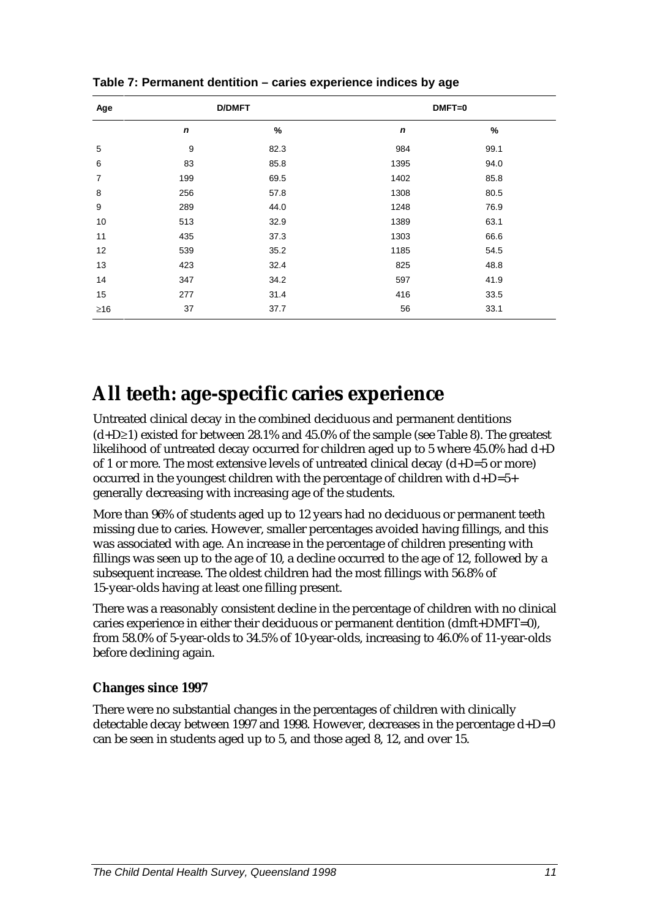| Age       | <b>D/DMFT</b> |      | $DMFT=0$         |      |  |  |
|-----------|---------------|------|------------------|------|--|--|
|           | $\mathbf n$   | %    | $\boldsymbol{n}$ | $\%$ |  |  |
| 5         | 9             | 82.3 | 984              | 99.1 |  |  |
| 6         | 83            | 85.8 | 1395             | 94.0 |  |  |
| 7         | 199           | 69.5 | 1402             | 85.8 |  |  |
| 8         | 256           | 57.8 | 1308             | 80.5 |  |  |
| 9         | 289           | 44.0 | 1248             | 76.9 |  |  |
| 10        | 513           | 32.9 | 1389             | 63.1 |  |  |
| 11        | 435           | 37.3 | 1303             | 66.6 |  |  |
| 12        | 539           | 35.2 | 1185             | 54.5 |  |  |
| 13        | 423           | 32.4 | 825              | 48.8 |  |  |
| 14        | 347           | 34.2 | 597              | 41.9 |  |  |
| 15        | 277           | 31.4 | 416              | 33.5 |  |  |
| $\geq 16$ | 37            | 37.7 | 56               | 33.1 |  |  |

**Table 7: Permanent dentition – caries experience indices by age**

### **All teeth: age-specific caries experience**

Untreated clinical decay in the combined deciduous and permanent dentitions (d+D≥1) existed for between 28.1% and 45.0% of the sample (see Table 8). The greatest likelihood of untreated decay occurred for children aged up to 5 where 45.0% had d+D of 1 or more. The most extensive levels of untreated clinical decay  $(d+D=5 \text{ or more})$ occurred in the youngest children with the percentage of children with d+D=5+ generally decreasing with increasing age of the students.

More than 96% of students aged up to 12 years had no deciduous or permanent teeth missing due to caries. However, smaller percentages avoided having fillings, and this was associated with age. An increase in the percentage of children presenting with fillings was seen up to the age of 10, a decline occurred to the age of 12, followed by a subsequent increase. The oldest children had the most fillings with 56.8% of 15-year-olds having at least one filling present.

There was a reasonably consistent decline in the percentage of children with no clinical caries experience in either their deciduous or permanent dentition (dmft+DMFT=0), from 58.0% of 5-year-olds to 34.5% of 10-year-olds, increasing to 46.0% of 11-year-olds before declining again.

### **Changes since 1997**

There were no substantial changes in the percentages of children with clinically detectable decay between 1997 and 1998. However, decreases in the percentage  $d+D=0$ can be seen in students aged up to 5, and those aged 8, 12, and over 15.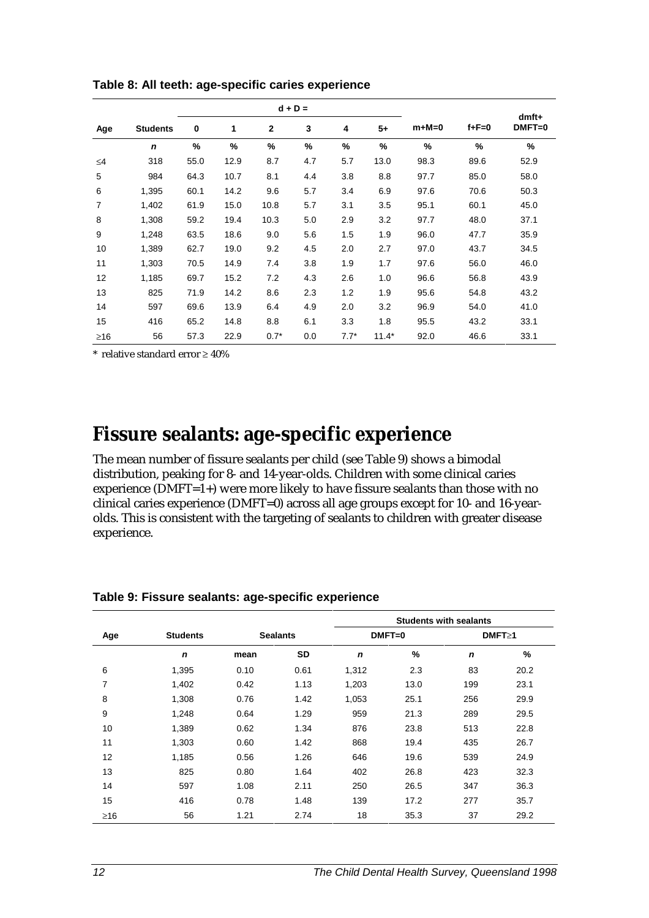|           |                 | $d + D =$     |      |              |     |               |         | $dmft+$ |             |          |
|-----------|-----------------|---------------|------|--------------|-----|---------------|---------|---------|-------------|----------|
| Age       | <b>Students</b> | 0             | 1    | $\mathbf{2}$ | 3   | 4             | $5+$    | $m+M=0$ | $f + F = 0$ | $DMFT=0$ |
|           | $\mathbf n$     | $\frac{9}{6}$ | %    | %            | %   | $\frac{9}{6}$ | %       | %       | %           | %        |
| $\leq 4$  | 318             | 55.0          | 12.9 | 8.7          | 4.7 | 5.7           | 13.0    | 98.3    | 89.6        | 52.9     |
| 5         | 984             | 64.3          | 10.7 | 8.1          | 4.4 | 3.8           | 8.8     | 97.7    | 85.0        | 58.0     |
| 6         | 1,395           | 60.1          | 14.2 | 9.6          | 5.7 | 3.4           | 6.9     | 97.6    | 70.6        | 50.3     |
| 7         | 1,402           | 61.9          | 15.0 | 10.8         | 5.7 | 3.1           | 3.5     | 95.1    | 60.1        | 45.0     |
| 8         | 1,308           | 59.2          | 19.4 | 10.3         | 5.0 | 2.9           | 3.2     | 97.7    | 48.0        | 37.1     |
| 9         | 1,248           | 63.5          | 18.6 | 9.0          | 5.6 | 1.5           | 1.9     | 96.0    | 47.7        | 35.9     |
| 10        | 1,389           | 62.7          | 19.0 | 9.2          | 4.5 | 2.0           | 2.7     | 97.0    | 43.7        | 34.5     |
| 11        | 1,303           | 70.5          | 14.9 | 7.4          | 3.8 | 1.9           | 1.7     | 97.6    | 56.0        | 46.0     |
| 12        | 1,185           | 69.7          | 15.2 | 7.2          | 4.3 | 2.6           | 1.0     | 96.6    | 56.8        | 43.9     |
| 13        | 825             | 71.9          | 14.2 | 8.6          | 2.3 | 1.2           | 1.9     | 95.6    | 54.8        | 43.2     |
| 14        | 597             | 69.6          | 13.9 | 6.4          | 4.9 | 2.0           | 3.2     | 96.9    | 54.0        | 41.0     |
| 15        | 416             | 65.2          | 14.8 | 8.8          | 6.1 | 3.3           | 1.8     | 95.5    | 43.2        | 33.1     |
| $\geq 16$ | 56              | 57.3          | 22.9 | $0.7*$       | 0.0 | $7.7*$        | $11.4*$ | 92.0    | 46.6        | 33.1     |

**Table 8: All teeth: age-specific caries experience**

\* relative standard error ≥ 40%

### **Fissure sealants: age-specific experience**

The mean number of fissure sealants per child (see Table 9) shows a bimodal distribution, peaking for 8- and 14-year-olds. Children with some clinical caries experience ( $\overline{DMFT=1+}$ ) were more likely to have fissure sealants than those with no clinical caries experience (DMFT=0) across all age groups except for 10- and 16-yearolds. This is consistent with the targeting of sealants to children with greater disease experience.

|           |                 |      |                 | <b>Students with sealants</b> |          |              |      |
|-----------|-----------------|------|-----------------|-------------------------------|----------|--------------|------|
| Age       | <b>Students</b> |      | <b>Sealants</b> |                               | $DMFT=0$ | $DMFT \ge 1$ |      |
|           | $\mathbf n$     | mean | SD              | $\mathbf n$                   | %        | $\mathbf n$  | %    |
| 6         | 1,395           | 0.10 | 0.61            | 1,312                         | 2.3      | 83           | 20.2 |
| 7         | 1,402           | 0.42 | 1.13            | 1,203                         | 13.0     | 199          | 23.1 |
| 8         | 1,308           | 0.76 | 1.42            | 1,053                         | 25.1     | 256          | 29.9 |
| 9         | 1,248           | 0.64 | 1.29            | 959                           | 21.3     | 289          | 29.5 |
| 10        | 1,389           | 0.62 | 1.34            | 876                           | 23.8     | 513          | 22.8 |
| 11        | 1,303           | 0.60 | 1.42            | 868                           | 19.4     | 435          | 26.7 |
| 12        | 1,185           | 0.56 | 1.26            | 646                           | 19.6     | 539          | 24.9 |
| 13        | 825             | 0.80 | 1.64            | 402                           | 26.8     | 423          | 32.3 |
| 14        | 597             | 1.08 | 2.11            | 250                           | 26.5     | 347          | 36.3 |
| 15        | 416             | 0.78 | 1.48            | 139                           | 17.2     | 277          | 35.7 |
| $\geq 16$ | 56              | 1.21 | 2.74            | 18                            | 35.3     | 37           | 29.2 |

**Table 9: Fissure sealants: age-specific experience**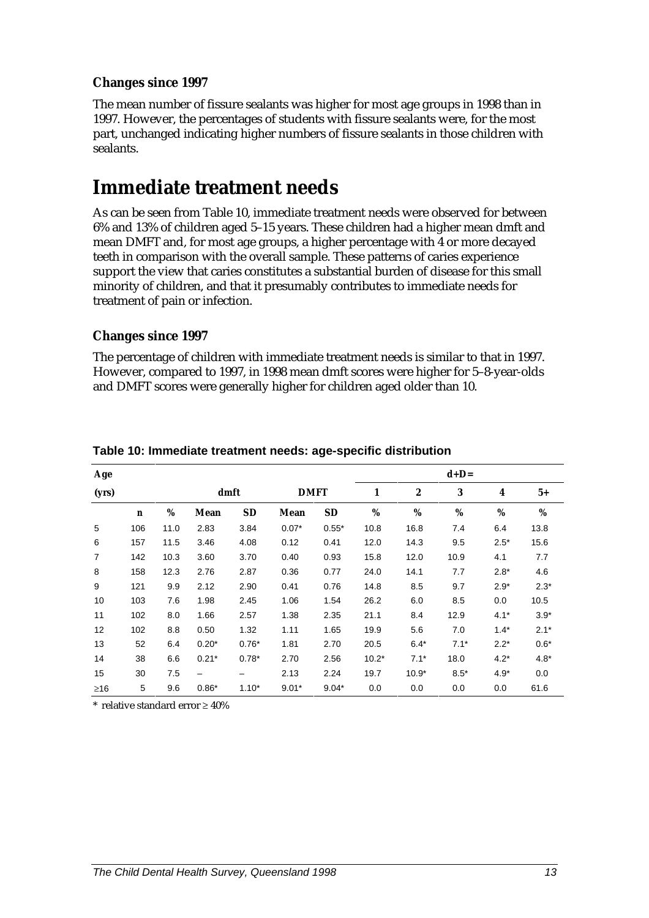#### **Changes since 1997**

The mean number of fissure sealants was higher for most age groups in 1998 than in 1997. However, the percentages of students with fissure sealants were, for the most part, unchanged indicating higher numbers of fissure sealants in those children with sealants.

### **Immediate treatment needs**

As can be seen from Table 10, immediate treatment needs were observed for between 6% and 13% of children aged 5–15 years. These children had a higher mean dmft and mean DMFT and, for most age groups, a higher percentage with 4 or more decayed teeth in comparison with the overall sample. These patterns of caries experience support the view that caries constitutes a substantial burden of disease for this small minority of children, and that it presumably contributes to immediate needs for treatment of pain or infection.

### **Changes since 1997**

The percentage of children with immediate treatment needs is similar to that in 1997. However, compared to 1997, in 1998 mean dmft scores were higher for 5–8-year-olds and DMFT scores were generally higher for children aged older than 10.

| Age            |              |      |         |           |             |           |         |         | $d+D=$   |        |        |
|----------------|--------------|------|---------|-----------|-------------|-----------|---------|---------|----------|--------|--------|
| (yrs)          |              |      | dmft    |           | <b>DMFT</b> |           | 1       | 2       | $\bf{3}$ | 4      | $5+$   |
|                | $\mathbf{n}$ | %    | Mean    | <b>SD</b> | Mean        | <b>SD</b> | %       | $\%$    | $\%$     | %      | $\%$   |
| 5              | 106          | 11.0 | 2.83    | 3.84      | $0.07*$     | $0.55*$   | 10.8    | 16.8    | 7.4      | 6.4    | 13.8   |
| 6              | 157          | 11.5 | 3.46    | 4.08      | 0.12        | 0.41      | 12.0    | 14.3    | 9.5      | $2.5*$ | 15.6   |
| $\overline{7}$ | 142          | 10.3 | 3.60    | 3.70      | 0.40        | 0.93      | 15.8    | 12.0    | 10.9     | 4.1    | 7.7    |
| 8              | 158          | 12.3 | 2.76    | 2.87      | 0.36        | 0.77      | 24.0    | 14.1    | 7.7      | $2.8*$ | 4.6    |
| 9              | 121          | 9.9  | 2.12    | 2.90      | 0.41        | 0.76      | 14.8    | 8.5     | 9.7      | $2.9*$ | $2.3*$ |
| 10             | 103          | 7.6  | 1.98    | 2.45      | 1.06        | 1.54      | 26.2    | 6.0     | 8.5      | 0.0    | 10.5   |
| 11             | 102          | 8.0  | 1.66    | 2.57      | 1.38        | 2.35      | 21.1    | 8.4     | 12.9     | $4.1*$ | $3.9*$ |
| 12             | 102          | 8.8  | 0.50    | 1.32      | 1.11        | 1.65      | 19.9    | 5.6     | 7.0      | $1.4*$ | $2.1*$ |
| 13             | 52           | 6.4  | $0.20*$ | $0.76*$   | 1.81        | 2.70      | 20.5    | $6.4*$  | $7.1*$   | $2.2*$ | $0.6*$ |
| 14             | 38           | 6.6  | $0.21*$ | $0.78*$   | 2.70        | 2.56      | $10.2*$ | $7.1*$  | 18.0     | $4.2*$ | $4.8*$ |
| 15             | 30           | 7.5  |         |           | 2.13        | 2.24      | 19.7    | $10.9*$ | $8.5*$   | $4.9*$ | 0.0    |
| $\geq 16$      | 5            | 9.6  | $0.86*$ | $1.10*$   | $9.01*$     | $9.04*$   | 0.0     | 0.0     | 0.0      | 0.0    | 61.6   |

#### **Table 10: Immediate treatment needs: age-specific distribution**

\* relative standard error ≥ 40%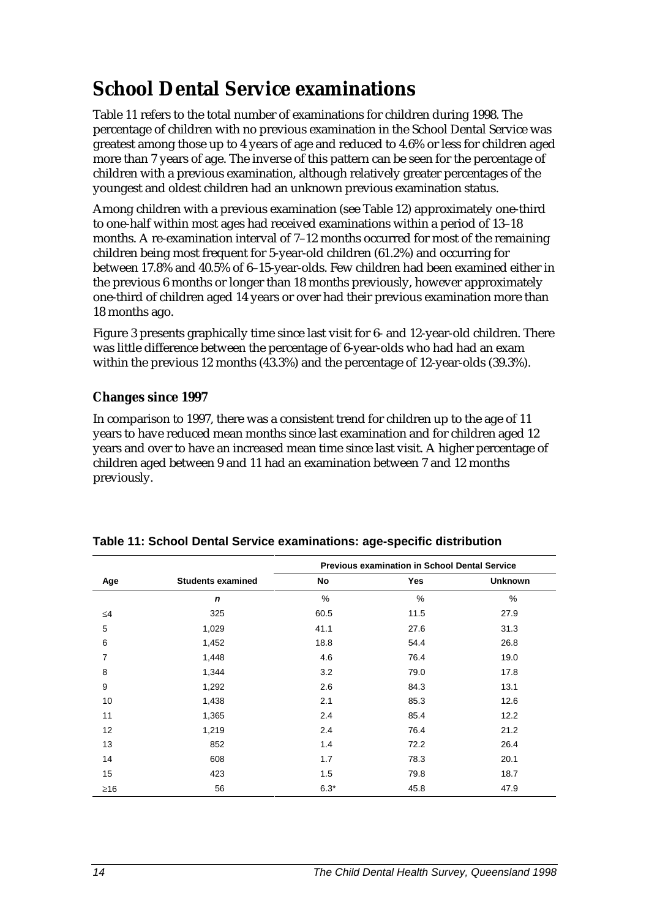### **School Dental Service examinations**

Table 11 refers to the total number of examinations for children during 1998. The percentage of children with no previous examination in the School Dental Service was greatest among those up to 4 years of age and reduced to 4.6% or less for children aged more than 7 years of age. The inverse of this pattern can be seen for the percentage of children with a previous examination, although relatively greater percentages of the youngest and oldest children had an unknown previous examination status.

Among children with a previous examination (see Table 12) approximately one-third to one-half within most ages had received examinations within a period of 13–18 months. A re-examination interval of 7–12 months occurred for most of the remaining children being most frequent for 5-year-old children (61.2%) and occurring for between 17.8% and 40.5% of 6–15-year-olds. Few children had been examined either in the previous 6 months or longer than 18 months previously, however approximately one-third of children aged 14 years or over had their previous examination more than 18 months ago.

Figure 3 presents graphically time since last visit for 6- and 12-year-old children. There was little difference between the percentage of 6-year-olds who had had an exam within the previous 12 months (43.3%) and the percentage of 12-year-olds (39.3%).

### **Changes since 1997**

In comparison to 1997, there was a consistent trend for children up to the age of 11 years to have reduced mean months since last examination and for children aged 12 years and over to have an increased mean time since last visit. A higher percentage of children aged between 9 and 11 had an examination between 7 and 12 months previously.

|           |                          |        | <b>Previous examination in School Dental Service</b> |                |
|-----------|--------------------------|--------|------------------------------------------------------|----------------|
| Age       | <b>Students examined</b> | No     | Yes                                                  | <b>Unknown</b> |
|           | $\mathbf n$              | %      | $\frac{0}{0}$                                        | %              |
| $\leq 4$  | 325                      | 60.5   | 11.5                                                 | 27.9           |
| 5         | 1,029                    | 41.1   | 27.6                                                 | 31.3           |
| 6         | 1,452                    | 18.8   | 54.4                                                 | 26.8           |
| 7         | 1,448                    | 4.6    | 76.4                                                 | 19.0           |
| 8         | 1,344                    | 3.2    | 79.0                                                 | 17.8           |
| 9         | 1,292                    | 2.6    | 84.3                                                 | 13.1           |
| 10        | 1,438                    | 2.1    | 85.3                                                 | 12.6           |
| 11        | 1,365                    | 2.4    | 85.4                                                 | 12.2           |
| 12        | 1,219                    | 2.4    | 76.4                                                 | 21.2           |
| 13        | 852                      | 1.4    | 72.2                                                 | 26.4           |
| 14        | 608                      | 1.7    | 78.3                                                 | 20.1           |
| 15        | 423                      | 1.5    | 79.8                                                 | 18.7           |
| $\geq 16$ | 56                       | $6.3*$ | 45.8                                                 | 47.9           |

#### **Table 11: School Dental Service examinations: age-specific distribution**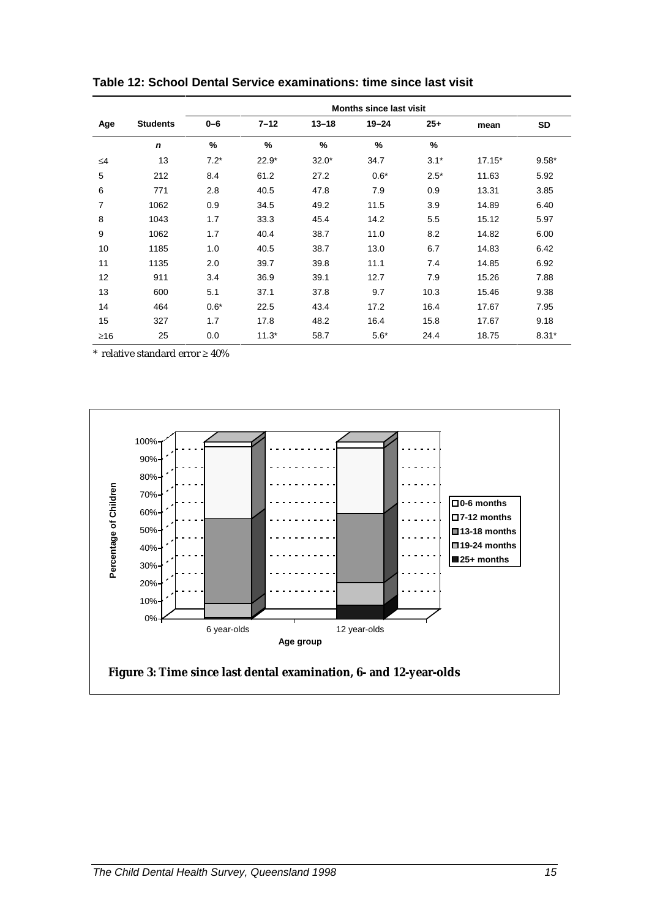|           |                 |         |          |           | <b>Months since last visit</b> |        |          |         |
|-----------|-----------------|---------|----------|-----------|--------------------------------|--------|----------|---------|
| Age       | <b>Students</b> | $0 - 6$ | $7 - 12$ | $13 - 18$ | $19 - 24$                      | $25+$  | mean     | SD      |
|           | $\mathbf n$     | %       | $\%$     | %         | %                              | %      |          |         |
| ≤4        | 13              | $7.2*$  | $22.9*$  | $32.0*$   | 34.7                           | $3.1*$ | $17.15*$ | $9.58*$ |
| 5         | 212             | 8.4     | 61.2     | 27.2      | $0.6*$                         | $2.5*$ | 11.63    | 5.92    |
| 6         | 771             | 2.8     | 40.5     | 47.8      | 7.9                            | 0.9    | 13.31    | 3.85    |
| 7         | 1062            | 0.9     | 34.5     | 49.2      | 11.5                           | 3.9    | 14.89    | 6.40    |
| 8         | 1043            | 1.7     | 33.3     | 45.4      | 14.2                           | 5.5    | 15.12    | 5.97    |
| 9         | 1062            | 1.7     | 40.4     | 38.7      | 11.0                           | 8.2    | 14.82    | 6.00    |
| 10        | 1185            | 1.0     | 40.5     | 38.7      | 13.0                           | 6.7    | 14.83    | 6.42    |
| 11        | 1135            | 2.0     | 39.7     | 39.8      | 11.1                           | 7.4    | 14.85    | 6.92    |
| 12        | 911             | 3.4     | 36.9     | 39.1      | 12.7                           | 7.9    | 15.26    | 7.88    |
| 13        | 600             | 5.1     | 37.1     | 37.8      | 9.7                            | 10.3   | 15.46    | 9.38    |
| 14        | 464             | $0.6*$  | 22.5     | 43.4      | 17.2                           | 16.4   | 17.67    | 7.95    |
| 15        | 327             | 1.7     | 17.8     | 48.2      | 16.4                           | 15.8   | 17.67    | 9.18    |
| $\geq 16$ | 25              | 0.0     | $11.3*$  | 58.7      | $5.6*$                         | 24.4   | 18.75    | $8.31*$ |

**Table 12: School Dental Service examinations: time since last visit**

\* relative standard error ≥ 40%

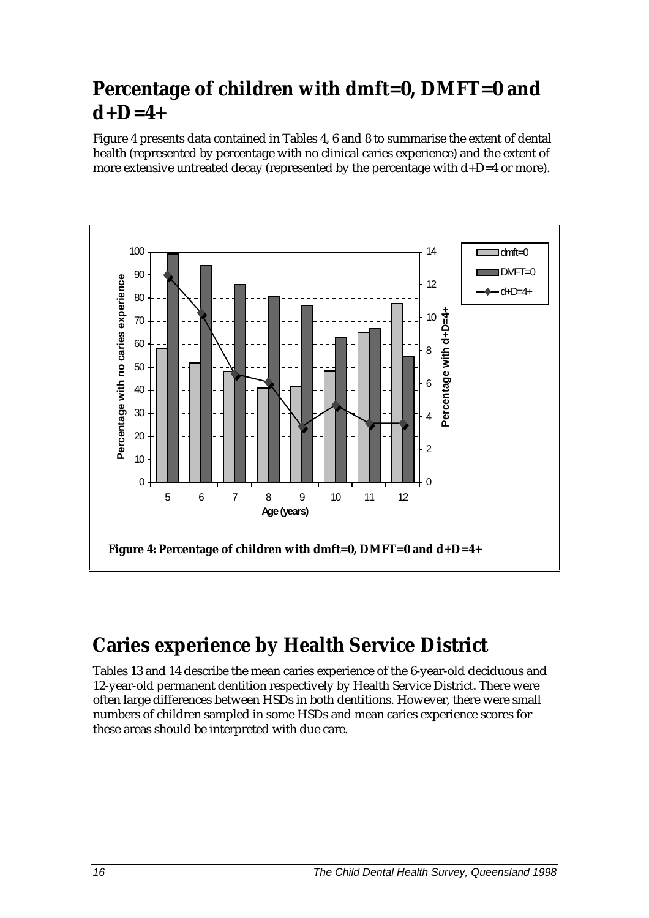## **Percentage of children with dmft=0, DMFT=0 and d+D=4+**

Figure 4 presents data contained in Tables 4, 6 and 8 to summarise the extent of dental health (represented by percentage with no clinical caries experience) and the extent of more extensive untreated decay (represented by the percentage with  $d+D=4$  or more).



## **Caries experience by Health Service District**

Tables 13 and 14 describe the mean caries experience of the 6-year-old deciduous and 12-year-old permanent dentition respectively by Health Service District. There were often large differences between HSDs in both dentitions. However, there were small numbers of children sampled in some HSDs and mean caries experience scores for these areas should be interpreted with due care.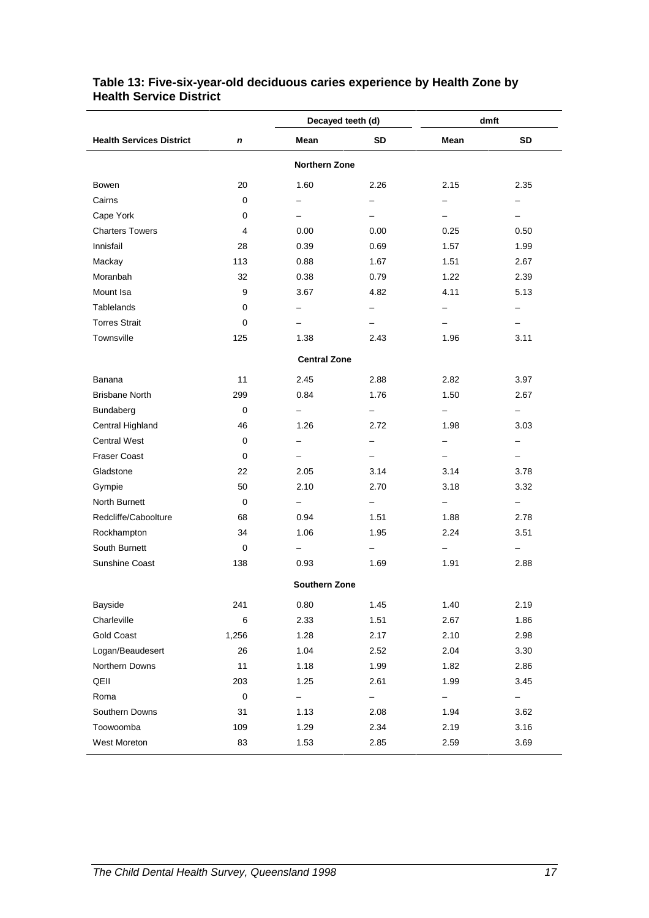|                                 |           |                          | Decayed teeth (d)        |                          | dmft                     |
|---------------------------------|-----------|--------------------------|--------------------------|--------------------------|--------------------------|
| <b>Health Services District</b> | n         | Mean                     | SD                       | Mean                     | SD                       |
|                                 |           | <b>Northern Zone</b>     |                          |                          |                          |
| Bowen                           | 20        | 1.60                     | 2.26                     | 2.15                     | 2.35                     |
| Cairns                          | 0         | $\overline{\phantom{0}}$ | $\overline{\phantom{0}}$ | $\overline{\phantom{0}}$ | Ξ.                       |
| Cape York                       | 0         | -                        |                          | -                        |                          |
| <b>Charters Towers</b>          | 4         | 0.00                     | 0.00                     | 0.25                     | 0.50                     |
| Innisfail                       | 28        | 0.39                     | 0.69                     | 1.57                     | 1.99                     |
| Mackay                          | 113       | 0.88                     | 1.67                     | 1.51                     | 2.67                     |
| Moranbah                        | 32        | 0.38                     | 0.79                     | 1.22                     | 2.39                     |
| Mount Isa                       | 9         | 3.67                     | 4.82                     | 4.11                     | 5.13                     |
| Tablelands                      | 0         | -                        | -                        | -                        | -                        |
| <b>Torres Strait</b>            | 0         | $\overline{\phantom{0}}$ | -                        | -                        | -                        |
| Townsville                      | 125       | 1.38                     | 2.43                     | 1.96                     | 3.11                     |
|                                 |           | <b>Central Zone</b>      |                          |                          |                          |
| Banana                          | 11        | 2.45                     | 2.88                     | 2.82                     | 3.97                     |
| <b>Brisbane North</b>           | 299       | 0.84                     | 1.76                     | 1.50                     | 2.67                     |
| Bundaberg                       | 0         | $\overline{\phantom{0}}$ | $\overline{\phantom{0}}$ | $\overline{\phantom{0}}$ | -                        |
| Central Highland                | 46        | 1.26                     | 2.72                     | 1.98                     | 3.03                     |
| <b>Central West</b>             | 0         | -                        | -                        | -                        |                          |
| <b>Fraser Coast</b>             | 0         | -                        | -                        | -                        |                          |
| Gladstone                       | 22        | 2.05                     | 3.14                     | 3.14                     | 3.78                     |
| Gympie                          | 50        | 2.10                     | 2.70                     | 3.18                     | 3.32                     |
| North Burnett                   | 0         | -                        | -                        | -                        | $\overline{\phantom{0}}$ |
| Redcliffe/Caboolture            | 68        | 0.94                     | 1.51                     | 1.88                     | 2.78                     |
| Rockhampton                     | 34        | 1.06                     | 1.95                     | 2.24                     | 3.51                     |
| South Burnett                   | 0         | $\overline{\phantom{0}}$ | -                        | $\overline{\phantom{0}}$ |                          |
| Sunshine Coast                  | 138       | 0.93                     | 1.69                     | 1.91                     | 2.88                     |
|                                 |           | <b>Southern Zone</b>     |                          |                          |                          |
| Bayside                         | 241       | 0.80                     | 1.45                     | 1.40                     | 2.19                     |
| Charleville                     | 6         | 2.33                     | 1.51                     | 2.67                     | 1.86                     |
| <b>Gold Coast</b>               | 1,256     | 1.28                     | 2.17                     | 2.10                     | 2.98                     |
| Logan/Beaudesert                | 26        | 1.04                     | 2.52                     | 2.04                     | 3.30                     |
| Northern Downs                  | 11        | 1.18                     | 1.99                     | 1.82                     | 2.86                     |
| QEII                            | 203       | 1.25                     | 2.61                     | 1.99                     | 3.45                     |
| Roma                            | $\pmb{0}$ | -                        | -                        | -                        | -                        |
| Southern Downs                  | 31        | 1.13                     | 2.08                     | 1.94                     | 3.62                     |
| Toowoomba                       | 109       | 1.29                     | 2.34                     | 2.19                     | 3.16                     |
| West Moreton                    | 83        | 1.53                     | 2.85                     | 2.59                     | 3.69                     |

#### **Table 13: Five-six-year-old deciduous caries experience by Health Zone by Health Service District**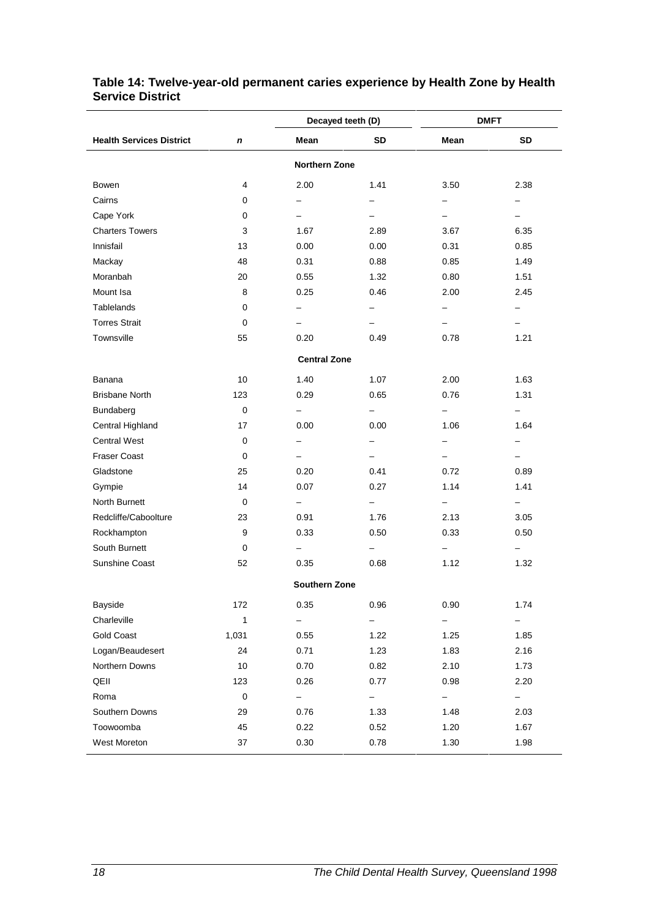|                                 |             |                          | Decayed teeth (D)        |                          | <b>DMFT</b>              |
|---------------------------------|-------------|--------------------------|--------------------------|--------------------------|--------------------------|
| <b>Health Services District</b> | $\mathbf n$ | Mean                     | <b>SD</b>                | Mean                     | <b>SD</b>                |
|                                 |             | <b>Northern Zone</b>     |                          |                          |                          |
| <b>Bowen</b>                    | 4           | 2.00                     | 1.41                     | 3.50                     | 2.38                     |
| Cairns                          | 0           | $\overline{\phantom{0}}$ | $\overline{\phantom{0}}$ | $\overline{\phantom{0}}$ | -                        |
| Cape York                       | 0           | $-$                      | $\overline{\phantom{0}}$ | $\overline{\phantom{0}}$ | $\overline{\phantom{0}}$ |
| <b>Charters Towers</b>          | 3           | 1.67                     | 2.89                     | 3.67                     | 6.35                     |
| Innisfail                       | 13          | 0.00                     | 0.00                     | 0.31                     | 0.85                     |
| Mackay                          | 48          | 0.31                     | 0.88                     | 0.85                     | 1.49                     |
| Moranbah                        | 20          | 0.55                     | 1.32                     | 0.80                     | 1.51                     |
| Mount Isa                       | 8           | 0.25                     | 0.46                     | 2.00                     | 2.45                     |
| Tablelands                      | 0           | -                        | Ξ.                       | -                        | $-$                      |
| <b>Torres Strait</b>            | 0           | -                        | $\overline{\phantom{0}}$ | -                        | -                        |
| Townsville                      | 55          | 0.20                     | 0.49                     | 0.78                     | 1.21                     |
|                                 |             | <b>Central Zone</b>      |                          |                          |                          |
| Banana                          | 10          | 1.40                     | 1.07                     | 2.00                     | 1.63                     |
| <b>Brisbane North</b>           | 123         | 0.29                     | 0.65                     | 0.76                     | 1.31                     |
| Bundaberg                       | 0           | -                        | -                        | -                        | -                        |
| Central Highland                | 17          | 0.00                     | 0.00                     | 1.06                     | 1.64                     |
| <b>Central West</b>             | 0           | $\qquad \qquad -$        | $\overline{\phantom{0}}$ | $\overline{\phantom{0}}$ | $-$                      |
| <b>Fraser Coast</b>             | 0           | -                        | -                        | -                        | -                        |
| Gladstone                       | 25          | 0.20                     | 0.41                     | 0.72                     | 0.89                     |
| Gympie                          | 14          | 0.07                     | 0.27                     | 1.14                     | 1.41                     |
| North Burnett                   | 0           | $\overline{\phantom{0}}$ | $\overline{\phantom{0}}$ | -                        | $\overline{\phantom{0}}$ |
| Redcliffe/Caboolture            | 23          | 0.91                     | 1.76                     | 2.13                     | 3.05                     |
| Rockhampton                     | 9           | 0.33                     | 0.50                     | 0.33                     | 0.50                     |
| South Burnett                   | 0           |                          |                          |                          |                          |
| Sunshine Coast                  | 52          | 0.35                     | 0.68                     | 1.12                     | 1.32                     |
|                                 |             | <b>Southern Zone</b>     |                          |                          |                          |
| Bayside                         | 172         | 0.35                     | 0.96                     | 0.90                     | 1.74                     |
| Charleville                     | 1           |                          |                          |                          |                          |
| Gold Coast                      | 1,031       | 0.55                     | 1.22                     | 1.25                     | 1.85                     |
| Logan/Beaudesert                | 24          | 0.71                     | 1.23                     | 1.83                     | 2.16                     |
| Northern Downs                  | 10          | 0.70                     | 0.82                     | 2.10                     | 1.73                     |
| QEII                            | 123         | 0.26                     | 0.77                     | 0.98                     | 2.20                     |
| Roma                            | $\pmb{0}$   | $\overline{\phantom{0}}$ |                          | $\overline{\phantom{0}}$ | $\qquad \qquad -$        |
| Southern Downs                  | 29          | 0.76                     | 1.33                     | 1.48                     | 2.03                     |
| Toowoomba                       | 45          | 0.22                     | 0.52                     | 1.20                     | 1.67                     |
| West Moreton                    | 37          | 0.30                     | 0.78                     | 1.30                     | 1.98                     |

#### **Table 14: Twelve-year-old permanent caries experience by Health Zone by Health Service District**